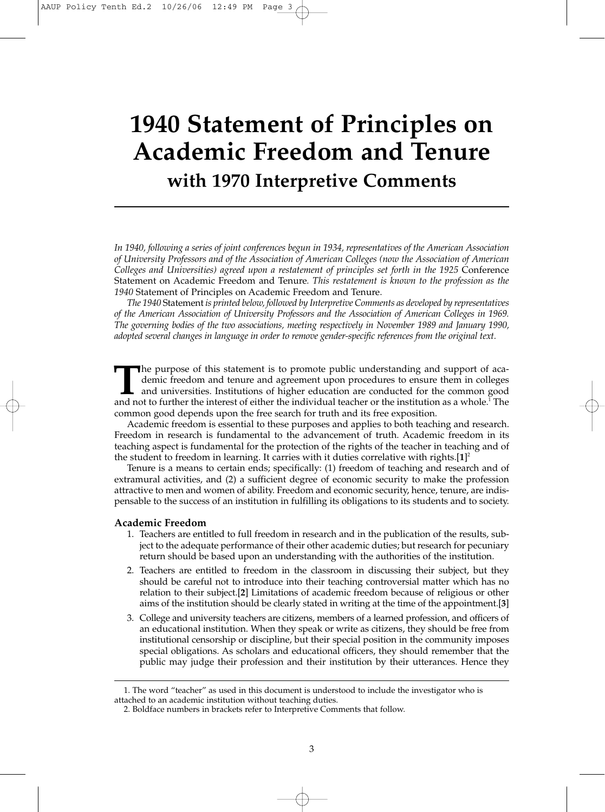# **1940 Statement of Principles on Academic Freedom and Tenure with 1970 Interpretive Comments**

*In 1940, following a series of joint conferences begun in 1934, representatives of the American Association of University Professors and of the Association of American Colleges (now the Association of American Colleges and Universities) agreed upon a restatement of principles set forth in the 1925* Conference Statement on Academic Freedom and Tenure*. This restatement is known to the profession as the 1940* Statement of Principles on Academic Freedom and Tenure.

*The 1940* Statement *is printed below, followed by Interpretive Comments as developed by representatives of the American Association of University Professors and the Association of American Colleges in 1969. The governing bodies of the two associations, meeting respectively in November 1989 and January 1990, adopted several changes in language in order to remove gender-specific references from the original text.*

The purpose of this statement is to promote public understanding and support of academic freedom and tenure and agreement upon procedures to ensure them in colleges and universities. Institutions of higher education are co demic freedom and tenure and agreement upon procedures to ensure them in colleges and not to further the interest of either the individual teacher or the institution as a whole.<sup>1</sup> The common good depends upon the free search for truth and its free exposition.

Academic freedom is essential to these purposes and applies to both teaching and research. Freedom in research is fundamental to the advancement of truth. Academic freedom in its teaching aspect is fundamental for the protection of the rights of the teacher in teaching and of the student to freedom in learning. It carries with it duties correlative with rights.[**1**] 2

Tenure is a means to certain ends; specifically: (1) freedom of teaching and research and of extramural activities, and (2) a sufficient degree of economic security to make the profession attractive to men and women of ability. Freedom and economic security, hence, tenure, are indispensable to the success of an institution in fulfilling its obligations to its students and to society.

## **Academic Freedom**

- 1. Teachers are entitled to full freedom in research and in the publication of the results, subject to the adequate performance of their other academic duties; but research for pecuniary return should be based upon an understanding with the authorities of the institution.
- 2. Teachers are entitled to freedom in the classroom in discussing their subject, but they should be careful not to introduce into their teaching controversial matter which has no relation to their subject.[**2**] Limitations of academic freedom because of religious or other aims of the institution should be clearly stated in writing at the time of the appointment.[**3**]
- 3. College and university teachers are citizens, members of a learned profession, and officers of an educational institution. When they speak or write as citizens, they should be free from institutional censorship or discipline, but their special position in the community imposes special obligations. As scholars and educational officers, they should remember that the public may judge their profession and their institution by their utterances. Hence they

<sup>1.</sup> The word "teacher" as used in this document is understood to include the investigator who is attached to an academic institution without teaching duties.

<sup>2.</sup> Boldface numbers in brackets refer to Interpretive Comments that follow.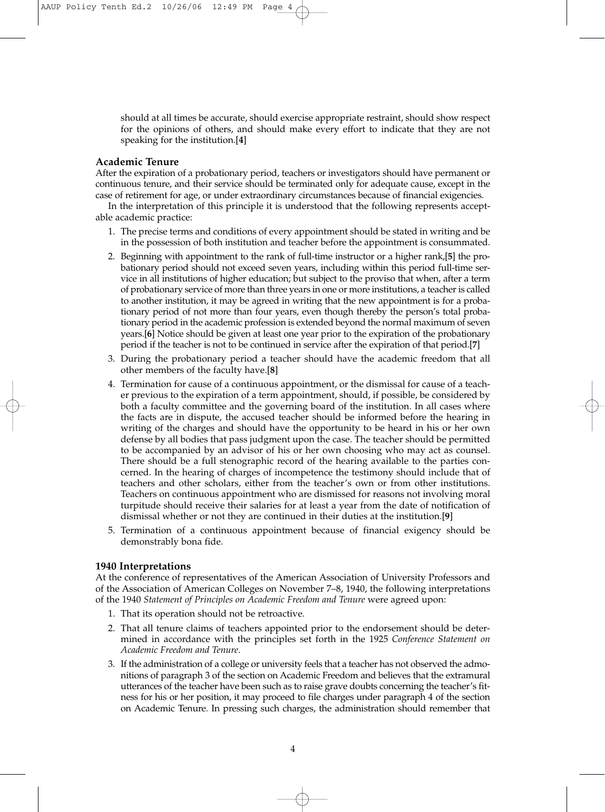should at all times be accurate, should exercise appropriate restraint, should show respect for the opinions of others, and should make every effort to indicate that they are not speaking for the institution.[**4**]

#### **Academic Tenure**

After the expiration of a probationary period, teachers or investigators should have permanent or continuous tenure, and their service should be terminated only for adequate cause, except in the case of retirement for age, or under extraordinary circumstances because of financial exigencies.

In the interpretation of this principle it is understood that the following represents acceptable academic practice:

- 1. The precise terms and conditions of every appointment should be stated in writing and be in the possession of both institution and teacher before the appointment is consummated.
- 2. Beginning with appointment to the rank of full-time instructor or a higher rank,[**5**] the probationary period should not exceed seven years, including within this period full-time service in all institutions of higher education; but subject to the proviso that when, after a term of probationary service of more than three years in one or more institutions, a teacher is called to another institution, it may be agreed in writing that the new appointment is for a probationary period of not more than four years, even though thereby the person's total probationary period in the academic profession is extended beyond the normal maximum of seven years.[**6**] Notice should be given at least one year prior to the expiration of the probationary period if the teacher is not to be continued in service after the expiration of that period.[**7**]
- 3. During the probationary period a teacher should have the academic freedom that all other members of the faculty have.[**8**]
- 4. Termination for cause of a continuous appointment, or the dismissal for cause of a teacher previous to the expiration of a term appointment, should, if possible, be considered by both a faculty committee and the governing board of the institution. In all cases where the facts are in dispute, the accused teacher should be informed before the hearing in writing of the charges and should have the opportunity to be heard in his or her own defense by all bodies that pass judgment upon the case. The teacher should be permitted to be accompanied by an advisor of his or her own choosing who may act as counsel. There should be a full stenographic record of the hearing available to the parties concerned. In the hearing of charges of incompetence the testimony should include that of teachers and other scholars, either from the teacher's own or from other institutions. Teachers on continuous appointment who are dismissed for reasons not involving moral turpitude should receive their salaries for at least a year from the date of notification of dismissal whether or not they are continued in their duties at the institution.[**9**]
- 5. Termination of a continuous appointment because of financial exigency should be demonstrably bona fide.

## **1940 Interpretations**

At the conference of representatives of the American Association of University Professors and of the Association of American Colleges on November 7–8, 1940, the following interpretations of the 1940 *Statement of Principles on Academic Freedom and Tenure* were agreed upon:

- 1. That its operation should not be retroactive.
- 2. That all tenure claims of teachers appointed prior to the endorsement should be determined in accordance with the principles set forth in the 1925 *Conference Statement on Academic Freedom and Tenure*.
- 3. If the administration of a college or university feels that a teacher has not observed the admonitions of paragraph 3 of the section on Academic Freedom and believes that the extramural utterances of the teacher have been such as to raise grave doubts concerning the teacher's fitness for his or her position, it may proceed to file charges under paragraph 4 of the section on Academic Tenure. In pressing such charges, the administration should remember that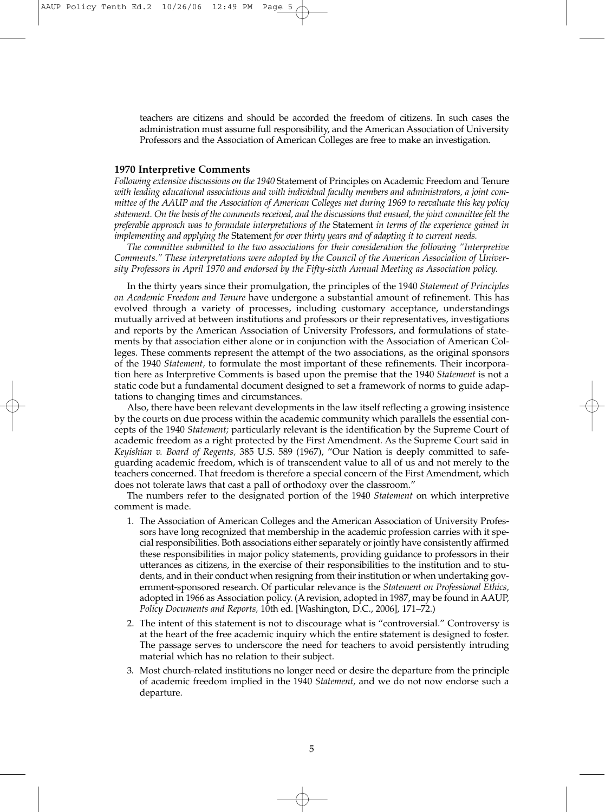teachers are citizens and should be accorded the freedom of citizens. In such cases the administration must assume full responsibility, and the American Association of University Professors and the Association of American Colleges are free to make an investigation.

#### **1970 Interpretive Comments**

*Following extensive discussions on the 1940* Statement of Principles on Academic Freedom and Tenure *with leading educational associations and with individual faculty members and administrators, a joint committee of the AAUP and the Association of American Colleges met during 1969 to reevaluate this key policy statement. On the basis of the comments received, and the discussions that ensued, the joint committee felt the preferable approach was to formulate interpretations of the* Statement *in terms of the experience gained in implementing and applying the* Statement *for over thirty years and of adapting it to current needs.*

*The committee submitted to the two associations for their consideration the following "Interpretive Comments." These interpretations were adopted by the Council of the American Association of University Professors in April 1970 and endorsed by the Fifty-sixth Annual Meeting as Association policy.*

In the thirty years since their promulgation, the principles of the 1940 *Statement of Principles on Academic Freedom and Tenure* have undergone a substantial amount of refinement. This has evolved through a variety of processes, including customary acceptance, understandings mutually arrived at between institutions and professors or their representatives, investigations and reports by the American Association of University Professors, and formulations of statements by that association either alone or in conjunction with the Association of American Colleges. These comments represent the attempt of the two associations, as the original sponsors of the 1940 *Statement,* to formulate the most important of these refinements. Their incorporation here as Interpretive Comments is based upon the premise that the 1940 *Statement* is not a static code but a fundamental document designed to set a framework of norms to guide adaptations to changing times and circumstances.

Also, there have been relevant developments in the law itself reflecting a growing insistence by the courts on due process within the academic community which parallels the essential concepts of the 1940 *Statement;* particularly relevant is the identification by the Supreme Court of academic freedom as a right protected by the First Amendment. As the Supreme Court said in *Keyishian v. Board of Regents,* 385 U.S. 589 (1967), "Our Nation is deeply committed to safeguarding academic freedom, which is of transcendent value to all of us and not merely to the teachers concerned. That freedom is therefore a special concern of the First Amendment, which does not tolerate laws that cast a pall of orthodoxy over the classroom."

The numbers refer to the designated portion of the 1940 *Statement* on which interpretive comment is made.

- 1. The Association of American Colleges and the American Association of University Professors have long recognized that membership in the academic profession carries with it special responsibilities. Both associations either separately or jointly have consistently affirmed these responsibilities in major policy statements, providing guidance to professors in their utterances as citizens, in the exercise of their responsibilities to the institution and to students, and in their conduct when resigning from their institution or when undertaking government-sponsored research. Of particular relevance is the *Statement on Professional Ethics,* adopted in 1966 as Association policy. (A revision, adopted in 1987, may be found in AAUP, *Policy Documents and Reports,* 10th ed. [Washington, D.C., 2006], 171–72.)
- 2. The intent of this statement is not to discourage what is "controversial." Controversy is at the heart of the free academic inquiry which the entire statement is designed to foster. The passage serves to underscore the need for teachers to avoid persistently intruding material which has no relation to their subject.
- 3. Most church-related institutions no longer need or desire the departure from the principle of academic freedom implied in the 1940 *Statement,* and we do not now endorse such a departure.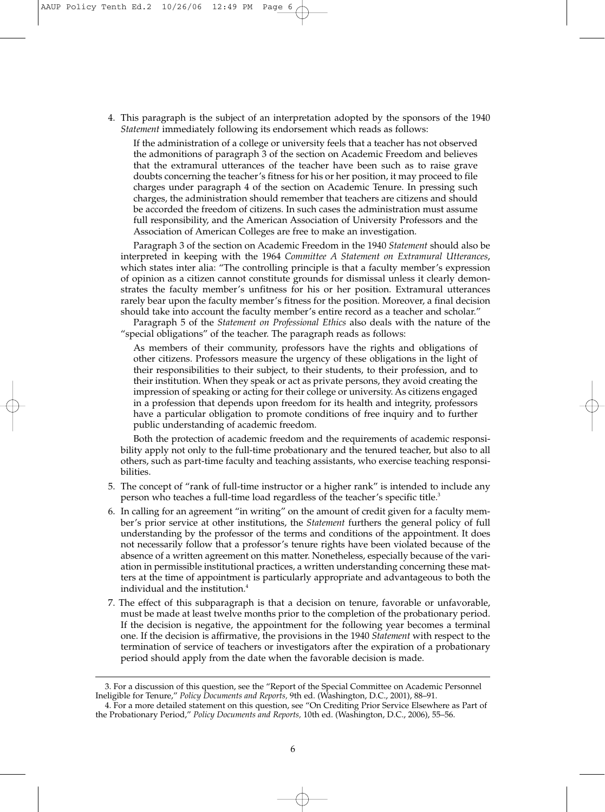4. This paragraph is the subject of an interpretation adopted by the sponsors of the 1940 *Statement* immediately following its endorsement which reads as follows:

If the administration of a college or university feels that a teacher has not observed the admonitions of paragraph 3 of the section on Academic Freedom and believes that the extramural utterances of the teacher have been such as to raise grave doubts concerning the teacher's fitness for his or her position, it may proceed to file charges under paragraph 4 of the section on Academic Tenure. In pressing such charges, the administration should remember that teachers are citizens and should be accorded the freedom of citizens. In such cases the administration must assume full responsibility, and the American Association of University Professors and the Association of American Colleges are free to make an investigation.

Paragraph 3 of the section on Academic Freedom in the 1940 *Statement* should also be interpreted in keeping with the 1964 *Committee A Statement on Extramural Utterances*, which states inter alia: "The controlling principle is that a faculty member's expression of opinion as a citizen cannot constitute grounds for dismissal unless it clearly demonstrates the faculty member's unfitness for his or her position. Extramural utterances rarely bear upon the faculty member's fitness for the position. Moreover, a final decision should take into account the faculty member's entire record as a teacher and scholar."

Paragraph 5 of the *Statement on Professional Ethics* also deals with the nature of the "special obligations" of the teacher. The paragraph reads as follows:

As members of their community, professors have the rights and obligations of other citizens. Professors measure the urgency of these obligations in the light of their responsibilities to their subject, to their students, to their profession, and to their institution. When they speak or act as private persons, they avoid creating the impression of speaking or acting for their college or university. As citizens engaged in a profession that depends upon freedom for its health and integrity, professors have a particular obligation to promote conditions of free inquiry and to further public understanding of academic freedom.

Both the protection of academic freedom and the requirements of academic responsibility apply not only to the full-time probationary and the tenured teacher, but also to all others, such as part-time faculty and teaching assistants, who exercise teaching responsibilities.

- 5. The concept of "rank of full-time instructor or a higher rank" is intended to include any person who teaches a full-time load regardless of the teacher's specific title.<sup>3</sup>
- 6. In calling for an agreement "in writing" on the amount of credit given for a faculty member's prior service at other institutions, the *Statement* furthers the general policy of full understanding by the professor of the terms and conditions of the appointment. It does not necessarily follow that a professor's tenure rights have been violated because of the absence of a written agreement on this matter. Nonetheless, especially because of the variation in permissible institutional practices, a written understanding concerning these matters at the time of appointment is particularly appropriate and advantageous to both the individual and the institution.<sup>4</sup>
- 7. The effect of this subparagraph is that a decision on tenure, favorable or unfavorable, must be made at least twelve months prior to the completion of the probationary period. If the decision is negative, the appointment for the following year becomes a terminal one. If the decision is affirmative, the provisions in the 1940 *Statement* with respect to the termination of service of teachers or investigators after the expiration of a probationary period should apply from the date when the favorable decision is made.

<sup>3.</sup> For a discussion of this question, see the "Report of the Special Committee on Academic Personnel Ineligible for Tenure," *Policy Documents and Reports,* 9th ed. (Washington, D.C., 2001), 88–91.

<sup>4.</sup> For a more detailed statement on this question, see "On Crediting Prior Service Elsewhere as Part of the Probationary Period," *Policy Documents and Reports,* 10th ed. (Washington, D.C., 2006), 55–56.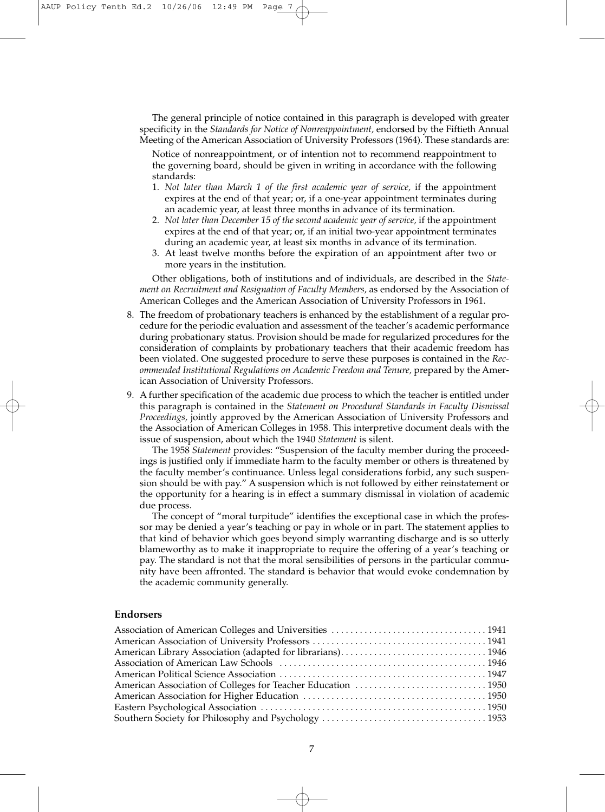The general principle of notice contained in this paragraph is developed with greater specificity in the *Standards for Notice of Nonreappointment,* endor**s**ed by the Fiftieth Annual Meeting of the American Association of University Professors (1964). These standards are:

Notice of nonreappointment, or of intention not to recommend reappointment to the governing board, should be given in writing in accordance with the following standards:

- 1. *Not later than March 1 of the first academic year of service,* if the appointment expires at the end of that year; or, if a one-year appointment terminates during an academic year, at least three months in advance of its termination.
- 2. *Not later than December 15 of the second academic year of service,* if the appointment expires at the end of that year; or, if an initial two-year appointment terminates during an academic year, at least six months in advance of its termination.
- 3. At least twelve months before the expiration of an appointment after two or more years in the institution.

Other obligations, both of institutions and of individuals, are described in the *Statement on Recruitment and Resignation of Faculty Members,* as endorsed by the Association of American Colleges and the American Association of University Professors in 1961.

- 8. The freedom of probationary teachers is enhanced by the establishment of a regular procedure for the periodic evaluation and assessment of the teacher's academic performance during probationary status. Provision should be made for regularized procedures for the consideration of complaints by probationary teachers that their academic freedom has been violated. One suggested procedure to serve these purposes is contained in the *Recommended Institutional Regulations on Academic Freedom and Tenure,* prepared by the American Association of University Professors.
- 9. A further specification of the academic due process to which the teacher is entitled under this paragraph is contained in the *Statement on Procedural Standards in Faculty Dismissal Proceedings,* jointly approved by the American Association of University Professors and the Association of American Colleges in 1958. This interpretive document deals with the issue of suspension, about which the 1940 *Statement* is silent.

The 1958 *Statement* provides: "Suspension of the faculty member during the proceedings is justified only if immediate harm to the faculty member or others is threatened by the faculty member's continuance. Unless legal considerations forbid, any such suspension should be with pay." A suspension which is not followed by either reinstatement or the opportunity for a hearing is in effect a summary dismissal in violation of academic due process.

The concept of "moral turpitude" identifies the exceptional case in which the professor may be denied a year's teaching or pay in whole or in part. The statement applies to that kind of behavior which goes beyond simply warranting discharge and is so utterly blameworthy as to make it inappropriate to require the offering of a year's teaching or pay. The standard is not that the moral sensibilities of persons in the particular community have been affronted. The standard is behavior that would evoke condemnation by the academic community generally.

## **Endorsers**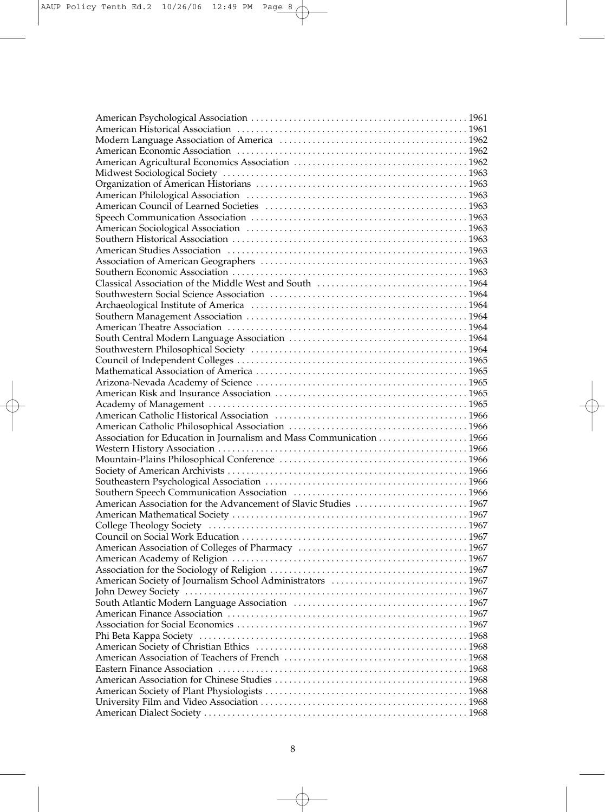| Midwest Sociological Society (and accommunication of the 1963)                                                   |
|------------------------------------------------------------------------------------------------------------------|
|                                                                                                                  |
|                                                                                                                  |
|                                                                                                                  |
|                                                                                                                  |
|                                                                                                                  |
|                                                                                                                  |
| American Studies Association (and all anti-array areas and all and all all and all all all all all all all all a |
|                                                                                                                  |
|                                                                                                                  |
|                                                                                                                  |
| Southwestern Social Science Association (and the content of the set of the 1964)                                 |
|                                                                                                                  |
|                                                                                                                  |
|                                                                                                                  |
|                                                                                                                  |
|                                                                                                                  |
|                                                                                                                  |
|                                                                                                                  |
|                                                                                                                  |
|                                                                                                                  |
|                                                                                                                  |
|                                                                                                                  |
| American Catholic Historical Association (and the content of the content of the 1966)                            |
| Association for Education in Journalism and Mass Communication 1966                                              |
|                                                                                                                  |
|                                                                                                                  |
|                                                                                                                  |
|                                                                                                                  |
|                                                                                                                  |
|                                                                                                                  |
|                                                                                                                  |
| American Association for the Advancement of Slavic Studies 1967                                                  |
|                                                                                                                  |
|                                                                                                                  |
|                                                                                                                  |
|                                                                                                                  |
|                                                                                                                  |
|                                                                                                                  |
|                                                                                                                  |
|                                                                                                                  |
|                                                                                                                  |
|                                                                                                                  |
|                                                                                                                  |
|                                                                                                                  |
|                                                                                                                  |
|                                                                                                                  |
|                                                                                                                  |
|                                                                                                                  |
|                                                                                                                  |
|                                                                                                                  |

 $\overline{\varphi}$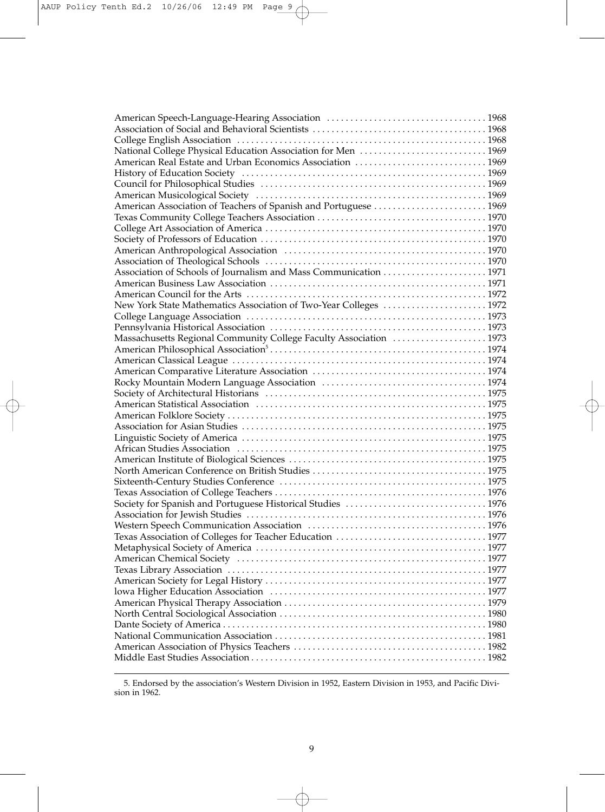| National College Physical Education Association for Men 1969                                                                                                                                                                  |  |
|-------------------------------------------------------------------------------------------------------------------------------------------------------------------------------------------------------------------------------|--|
| American Real Estate and Urban Economics Association 1969                                                                                                                                                                     |  |
|                                                                                                                                                                                                                               |  |
|                                                                                                                                                                                                                               |  |
| American Musicological Society (and according to the control of the 1969)                                                                                                                                                     |  |
| American Association of Teachers of Spanish and Portuguese  1969                                                                                                                                                              |  |
|                                                                                                                                                                                                                               |  |
|                                                                                                                                                                                                                               |  |
|                                                                                                                                                                                                                               |  |
| American Anthropological Association (and the context of the context of the context of the context of the context of the context of the context of the context of the context of the context of the context of the context of |  |
|                                                                                                                                                                                                                               |  |
|                                                                                                                                                                                                                               |  |
|                                                                                                                                                                                                                               |  |
|                                                                                                                                                                                                                               |  |
| New York State Mathematics Association of Two-Year Colleges  1972                                                                                                                                                             |  |
|                                                                                                                                                                                                                               |  |
|                                                                                                                                                                                                                               |  |
| Massachusetts Regional Community College Faculty Association  1973                                                                                                                                                            |  |
|                                                                                                                                                                                                                               |  |
|                                                                                                                                                                                                                               |  |
|                                                                                                                                                                                                                               |  |
|                                                                                                                                                                                                                               |  |
|                                                                                                                                                                                                                               |  |
| American Statistical Association (and all and according to the state of 1975)                                                                                                                                                 |  |
|                                                                                                                                                                                                                               |  |
|                                                                                                                                                                                                                               |  |
|                                                                                                                                                                                                                               |  |
|                                                                                                                                                                                                                               |  |
|                                                                                                                                                                                                                               |  |
|                                                                                                                                                                                                                               |  |
|                                                                                                                                                                                                                               |  |
|                                                                                                                                                                                                                               |  |
| Society for Spanish and Portuguese Historical Studies 1976                                                                                                                                                                    |  |
|                                                                                                                                                                                                                               |  |
|                                                                                                                                                                                                                               |  |
|                                                                                                                                                                                                                               |  |
|                                                                                                                                                                                                                               |  |
|                                                                                                                                                                                                                               |  |
|                                                                                                                                                                                                                               |  |
|                                                                                                                                                                                                                               |  |
|                                                                                                                                                                                                                               |  |
|                                                                                                                                                                                                                               |  |
|                                                                                                                                                                                                                               |  |
|                                                                                                                                                                                                                               |  |
|                                                                                                                                                                                                                               |  |
|                                                                                                                                                                                                                               |  |
|                                                                                                                                                                                                                               |  |
|                                                                                                                                                                                                                               |  |

5. Endorsed by the association's Western Division in 1952, Eastern Division in 1953, and Pacific Division in 1962.

 $\overline{\bigoplus}$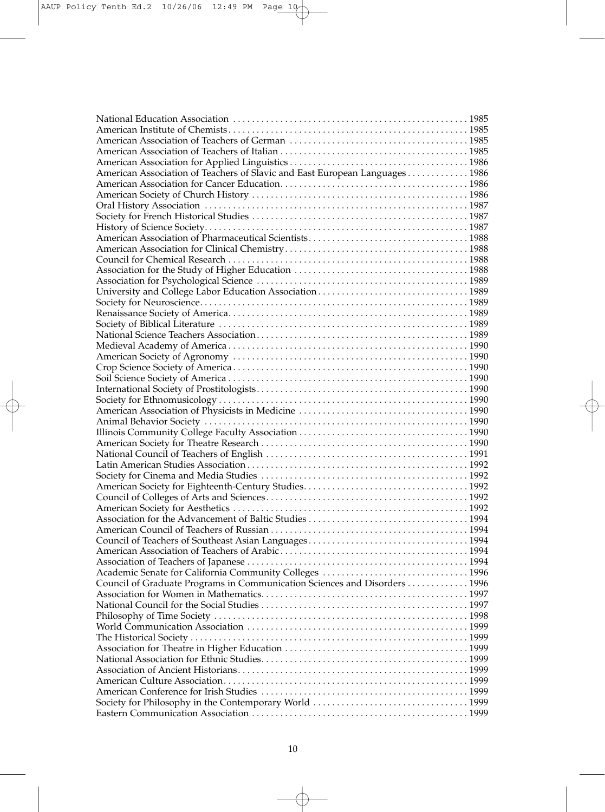| American Association of Teachers of Slavic and East European Languages 1986 |  |
|-----------------------------------------------------------------------------|--|
|                                                                             |  |
|                                                                             |  |
|                                                                             |  |
|                                                                             |  |
|                                                                             |  |
|                                                                             |  |
|                                                                             |  |
|                                                                             |  |
|                                                                             |  |
|                                                                             |  |
|                                                                             |  |
|                                                                             |  |
|                                                                             |  |
|                                                                             |  |
|                                                                             |  |
|                                                                             |  |
|                                                                             |  |
| American Society of Agronomy<br>Crop Science Society of America             |  |
|                                                                             |  |
|                                                                             |  |
|                                                                             |  |
|                                                                             |  |
|                                                                             |  |
|                                                                             |  |
|                                                                             |  |
|                                                                             |  |
|                                                                             |  |
|                                                                             |  |
|                                                                             |  |
|                                                                             |  |
|                                                                             |  |
|                                                                             |  |
|                                                                             |  |
|                                                                             |  |
|                                                                             |  |
|                                                                             |  |
|                                                                             |  |
| Council of Graduate Programs in Communication Sciences and Disorders 1996   |  |
|                                                                             |  |
|                                                                             |  |
|                                                                             |  |
|                                                                             |  |
|                                                                             |  |
|                                                                             |  |
|                                                                             |  |
|                                                                             |  |
|                                                                             |  |
|                                                                             |  |
|                                                                             |  |
|                                                                             |  |
|                                                                             |  |

 $\oplus$